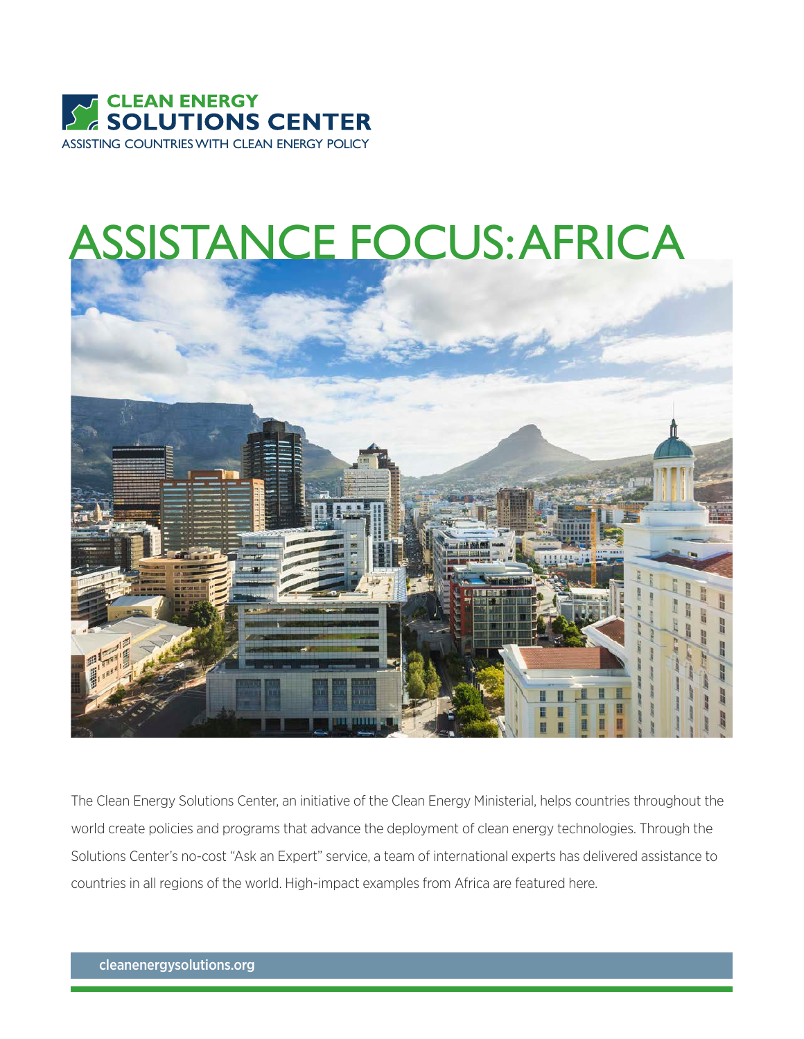

# ASSISTANCE FOCUS: AFRICA



The Clean Energy Solutions Center, an initiative of the Clean Energy Ministerial, helps countries throughout the world create policies and programs that advance the deployment of clean energy technologies. Through the Solutions Center's no-cost "Ask an Expert" service, a team of international experts has delivered assistance to countries in all regions of the world. High-impact examples from Africa are featured here.

cleanenergysolutions.org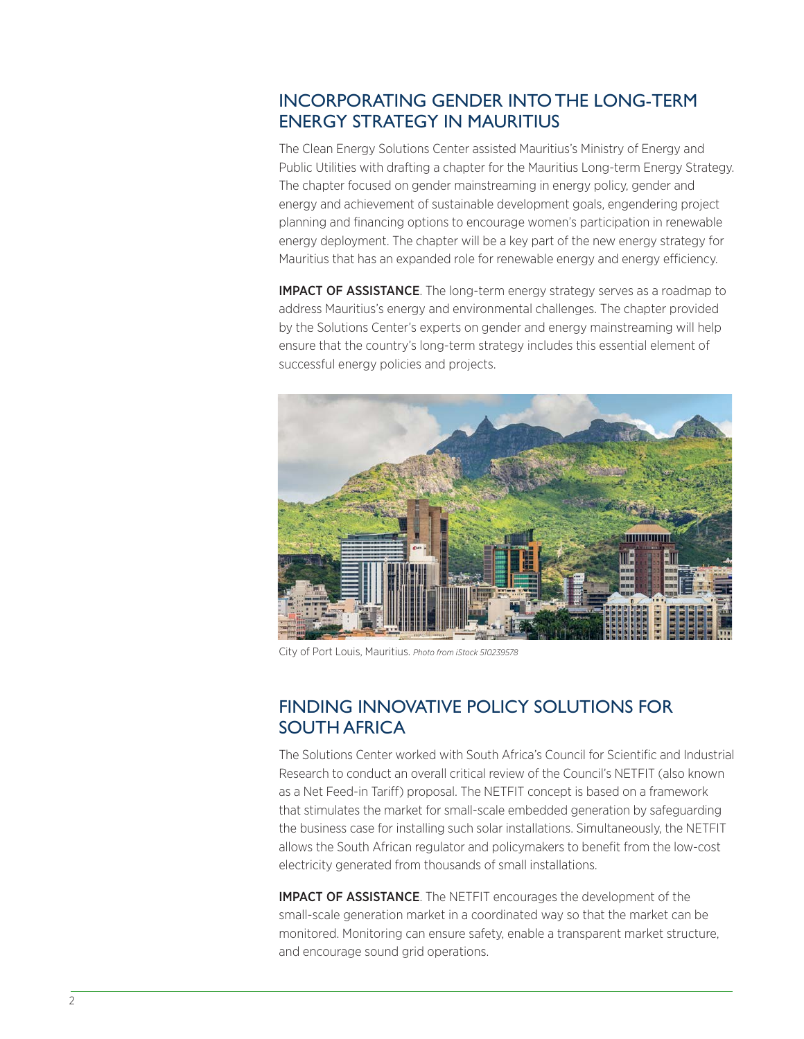## INCORPORATING GENDER INTO THE LONG-TERM ENERGY STRATEGY IN MAURITIUS

The Clean Energy Solutions Center assisted Mauritius's Ministry of Energy and Public Utilities with drafting a chapter for the Mauritius Long-term Energy Strategy. The chapter focused on gender mainstreaming in energy policy, gender and energy and achievement of sustainable development goals, engendering project planning and financing options to encourage women's participation in renewable energy deployment. The chapter will be a key part of the new energy strategy for Mauritius that has an expanded role for renewable energy and energy efficiency.

IMPACT OF ASSISTANCE. The long-term energy strategy serves as a roadmap to address Mauritius's energy and environmental challenges. The chapter provided by the Solutions Center's experts on gender and energy mainstreaming will help ensure that the country's long-term strategy includes this essential element of successful energy policies and projects.



City of Port Louis, Mauritius. *Photo from iStock 510239578*

#### FINDING INNOVATIVE POLICY SOLUTIONS FOR SOUTH AFRICA

The Solutions Center worked with South Africa's Council for Scientific and Industrial Research to conduct an overall critical review of the Council's NETFIT (also known as a Net Feed-in Tariff) proposal. The NETFIT concept is based on a framework that stimulates the market for small-scale embedded generation by safeguarding the business case for installing such solar installations. Simultaneously, the NETFIT allows the South African regulator and policymakers to benefit from the low-cost electricity generated from thousands of small installations.

**IMPACT OF ASSISTANCE**. The NETFIT encourages the development of the small-scale generation market in a coordinated way so that the market can be monitored. Monitoring can ensure safety, enable a transparent market structure, and encourage sound grid operations.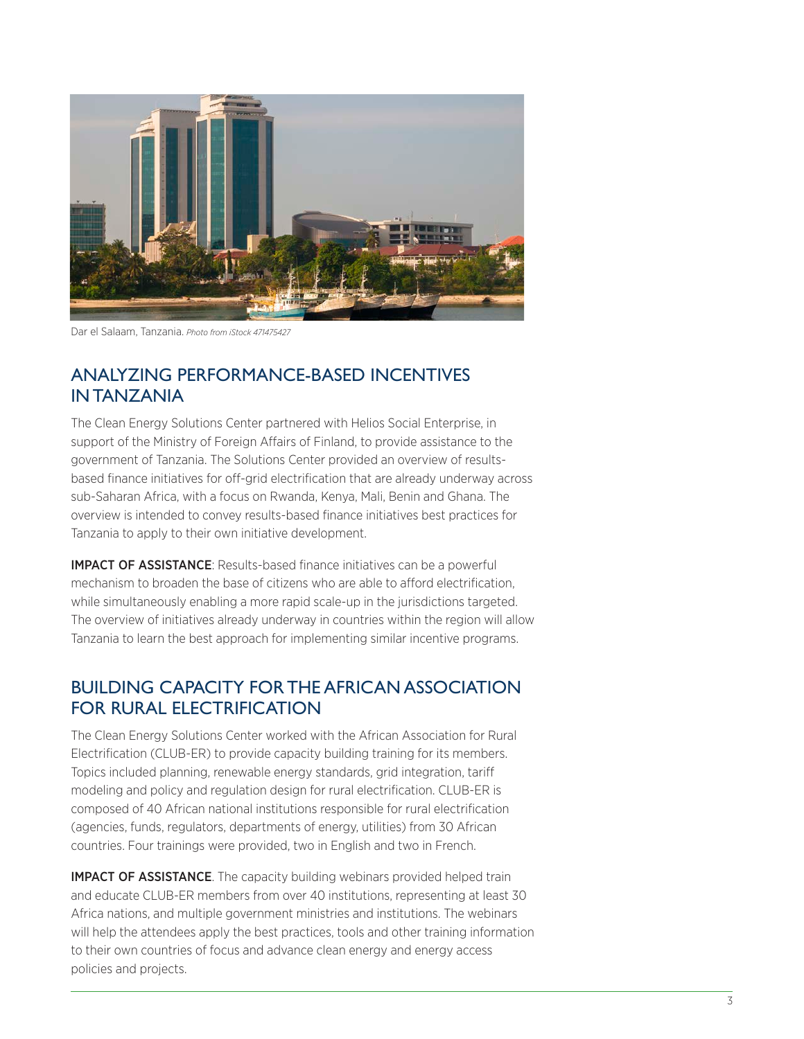

Dar el Salaam, Tanzania. *Photo from iStock 471475427*

#### ANALYZING PERFORMANCE-BASED INCENTIVES IN TANZANIA

The Clean Energy Solutions Center partnered with Helios Social Enterprise, in support of the Ministry of Foreign Affairs of Finland, to provide assistance to the government of Tanzania. The Solutions Center provided an overview of resultsbased finance initiatives for off-grid electrification that are already underway across sub-Saharan Africa, with a focus on Rwanda, Kenya, Mali, Benin and Ghana. The overview is intended to convey results-based finance initiatives best practices for Tanzania to apply to their own initiative development.

IMPACT OF ASSISTANCE: Results-based finance initiatives can be a powerful mechanism to broaden the base of citizens who are able to afford electrification, while simultaneously enabling a more rapid scale-up in the jurisdictions targeted. The overview of initiatives already underway in countries within the region will allow Tanzania to learn the best approach for implementing similar incentive programs.

## BUILDING CAPACITY FOR THE AFRICAN ASSOCIATION FOR RURAL ELECTRIFICATION

The Clean Energy Solutions Center worked with the African Association for Rural Electrification (CLUB-ER) to provide capacity building training for its members. Topics included planning, renewable energy standards, grid integration, tariff modeling and policy and regulation design for rural electrification. CLUB-ER is composed of 40 African national institutions responsible for rural electrification (agencies, funds, regulators, departments of energy, utilities) from 30 African countries. Four trainings were provided, two in English and two in French.

**IMPACT OF ASSISTANCE**. The capacity building webinars provided helped train and educate CLUB-ER members from over 40 institutions, representing at least 30 Africa nations, and multiple government ministries and institutions. The webinars will help the attendees apply the best practices, tools and other training information to their own countries of focus and advance clean energy and energy access policies and projects.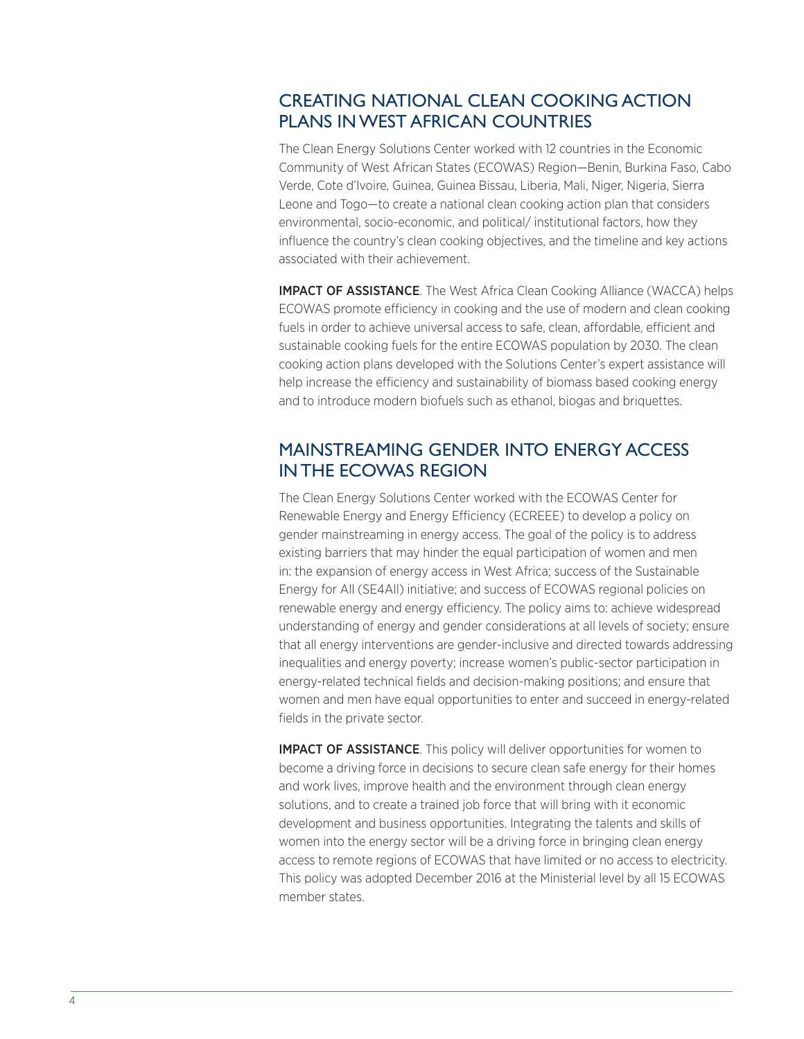## CREATING NATIONAL CLEAN COOKING ACTION PLANS IN WEST AFRICAN COUNTRIES

The Clean Energy Solutions Center worked with 12 countries in the Economic Community of West African States (ECOWAS) Region—Benin, Burkina Faso, Cabo Verde, Cote d'Ivoire, Guinea, Guinea Bissau, Liberia, Mali, Niger, Nigeria, Sierra Leone and Togo—to create a national clean cooking action plan that considers environmental, socio-economic, and political/ institutional factors, how they influence the country's clean cooking objectives, and the timeline and key actions associated with their achievement.

IMPACT OF ASSISTANCE. The West Africa Clean Cooking Alliance (WACCA) helps ECOWAS promote efficiency in cooking and the use of modern and clean cooking fuels in order to achieve universal access to safe, clean, affordable, efficient and sustainable cooking fuels for the entire ECOWAS population by 2030. The clean cooking action plans developed with the Solutions Center's expert assistance will help increase the efficiency and sustainability of biomass based cooking energy and to introduce modern biofuels such as ethanol, biogas and briquettes.

## MAINSTREAMING GENDER INTO ENERGY ACCESS IN THE ECOWAS REGION

The Clean Energy Solutions Center worked with the ECOWAS Center for Renewable Energy and Energy Efficiency (ECREEE) to develop a policy on gender mainstreaming in energy access. The goal of the policy is to address existing barriers that may hinder the equal participation of women and men in: the expansion of energy access in West Africa; success of the Sustainable Energy for All (SE4All) initiative; and success of ECOWAS regional policies on renewable energy and energy efficiency. The policy aims to: achieve widespread understanding of energy and gender considerations at all levels of society; ensure that all energy interventions are gender-inclusive and directed towards addressing inequalities and energy poverty; increase women's public-sector participation in energy-related technical fields and decision-making positions; and ensure that women and men have equal opportunities to enter and succeed in energy-related fields in the private sector.

**IMPACT OF ASSISTANCE**. This policy will deliver opportunities for women to become a driving force in decisions to secure clean safe energy for their homes and work lives, improve health and the environment through clean energy solutions, and to create a trained job force that will bring with it economic development and business opportunities. Integrating the talents and skills of women into the energy sector will be a driving force in bringing clean energy access to remote regions of ECOWAS that have limited or no access to electricity. This policy was adopted December 2016 at the Ministerial level by all 15 ECOWAS member states.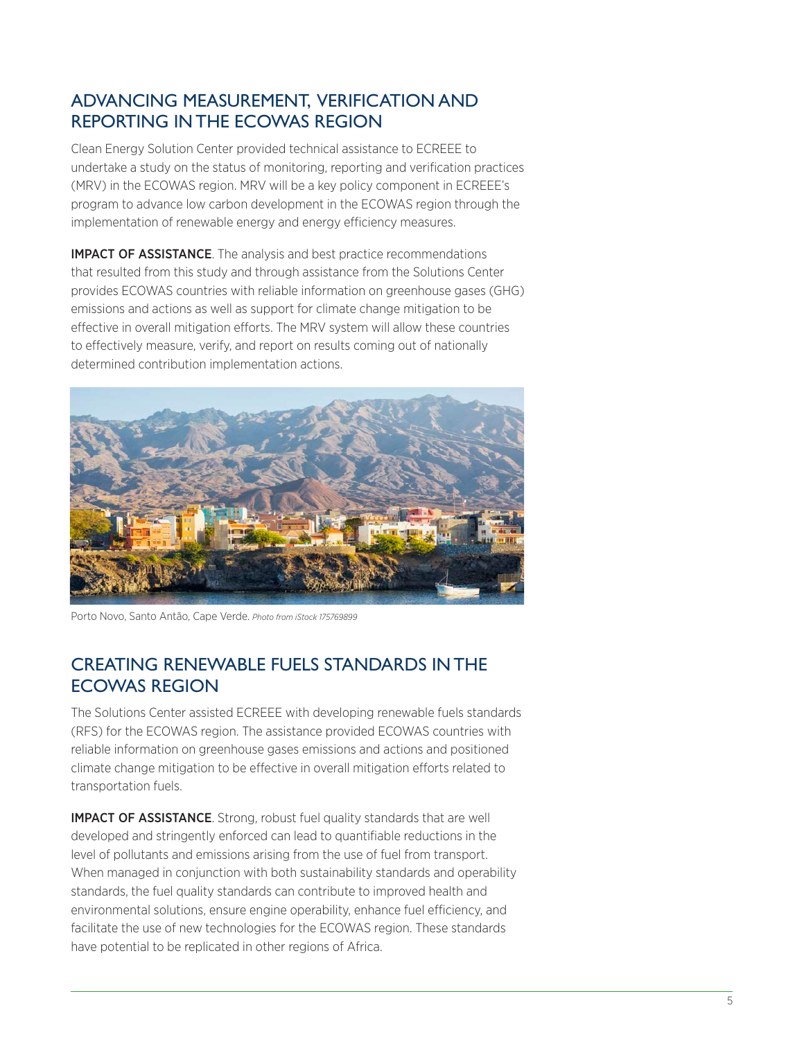# ADVANCING MEASUREMENT, VERIFICATION AND REPORTING IN THE ECOWAS REGION

Clean Energy Solution Center provided technical assistance to ECREEE to undertake a study on the status of monitoring, reporting and verification practices (MRV) in the ECOWAS region. MRV will be a key policy component in ECREEE's program to advance low carbon development in the ECOWAS region through the implementation of renewable energy and energy efficiency measures.

IMPACT OF ASSISTANCE. The analysis and best practice recommendations that resulted from this study and through assistance from the Solutions Center provides ECOWAS countries with reliable information on greenhouse gases (GHG) emissions and actions as well as support for climate change mitigation to be effective in overall mitigation efforts. The MRV system will allow these countries to effectively measure, verify, and report on results coming out of nationally determined contribution implementation actions.



Porto Novo, Santo Antão, Cape Verde. *Photo from iStock 175769899*

## CREATING RENEWABLE FUELS STANDARDS IN THE ECOWAS REGION

The Solutions Center assisted ECREEE with developing renewable fuels standards (RFS) for the ECOWAS region. The assistance provided ECOWAS countries with reliable information on greenhouse gases emissions and actions and positioned climate change mitigation to be effective in overall mitigation efforts related to transportation fuels.

IMPACT OF ASSISTANCE. Strong, robust fuel quality standards that are well developed and stringently enforced can lead to quantifiable reductions in the level of pollutants and emissions arising from the use of fuel from transport. When managed in conjunction with both sustainability standards and operability standards, the fuel quality standards can contribute to improved health and environmental solutions, ensure engine operability, enhance fuel efficiency, and facilitate the use of new technologies for the ECOWAS region. These standards have potential to be replicated in other regions of Africa.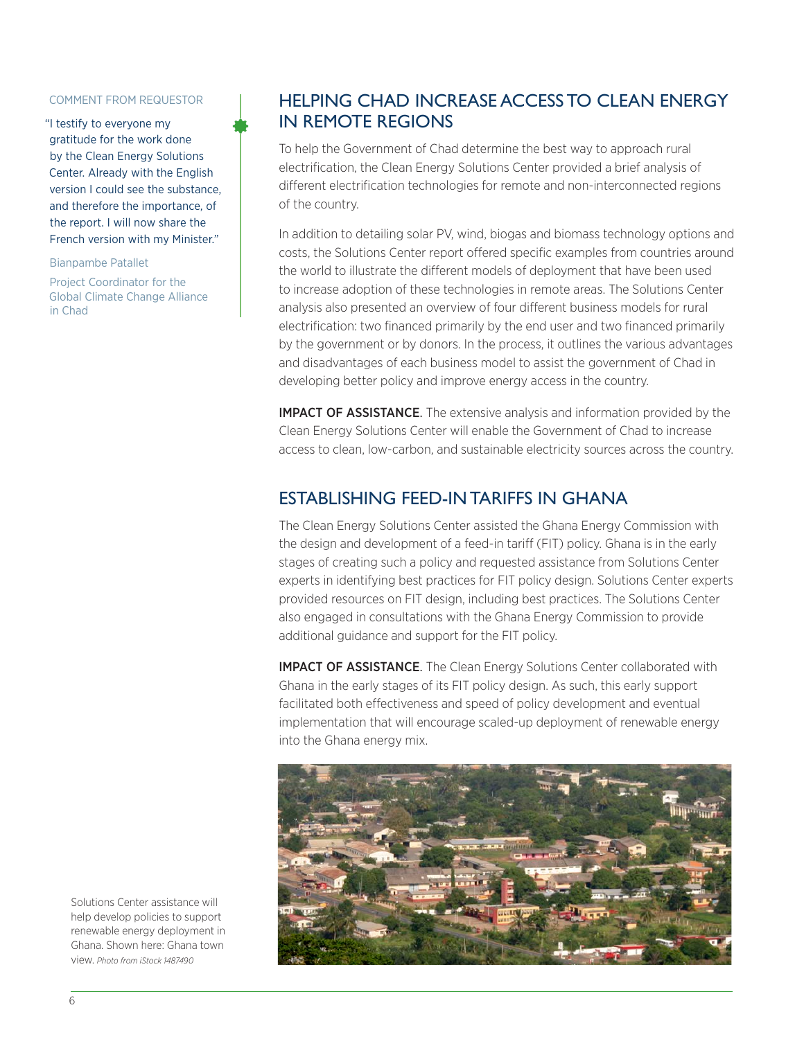#### COMMENT FROM REQUESTOR

"I testify to everyone my gratitude for the work done by the Clean Energy Solutions Center. Already with the English version I could see the substance, and therefore the importance, of the report. I will now share the French version with my Minister."

Bianpambe Patallet

Project Coordinator for the Global Climate Change Alliance in Chad

#### HELPING CHAD INCREASE ACCESS TO CLEAN ENERGY IN REMOTE REGIONS

To help the Government of Chad determine the best way to approach rural electrification, the Clean Energy Solutions Center provided a brief analysis of different electrification technologies for remote and non-interconnected regions of the country.

In addition to detailing solar PV, wind, biogas and biomass technology options and costs, the Solutions Center report offered specific examples from countries around the world to illustrate the different models of deployment that have been used to increase adoption of these technologies in remote areas. The Solutions Center analysis also presented an overview of four different business models for rural electrification: two financed primarily by the end user and two financed primarily by the government or by donors. In the process, it outlines the various advantages and disadvantages of each business model to assist the government of Chad in developing better policy and improve energy access in the country.

**IMPACT OF ASSISTANCE**. The extensive analysis and information provided by the Clean Energy Solutions Center will enable the Government of Chad to increase access to clean, low-carbon, and sustainable electricity sources across the country.

## ESTABLISHING FEED-IN TARIFFS IN GHANA

The Clean Energy Solutions Center assisted the Ghana Energy Commission with the design and development of a feed-in tariff (FIT) policy. Ghana is in the early stages of creating such a policy and requested assistance from Solutions Center experts in identifying best practices for FIT policy design. Solutions Center experts provided resources on FIT design, including best practices. The Solutions Center also engaged in consultations with the Ghana Energy Commission to provide additional guidance and support for the FIT policy.

**IMPACT OF ASSISTANCE**. The Clean Energy Solutions Center collaborated with Ghana in the early stages of its FIT policy design. As such, this early support facilitated both effectiveness and speed of policy development and eventual implementation that will encourage scaled-up deployment of renewable energy into the Ghana energy mix.



Solutions Center assistance will help develop policies to support renewable energy deployment in Ghana. Shown here: Ghana town view. *Photo from iStock 1487490*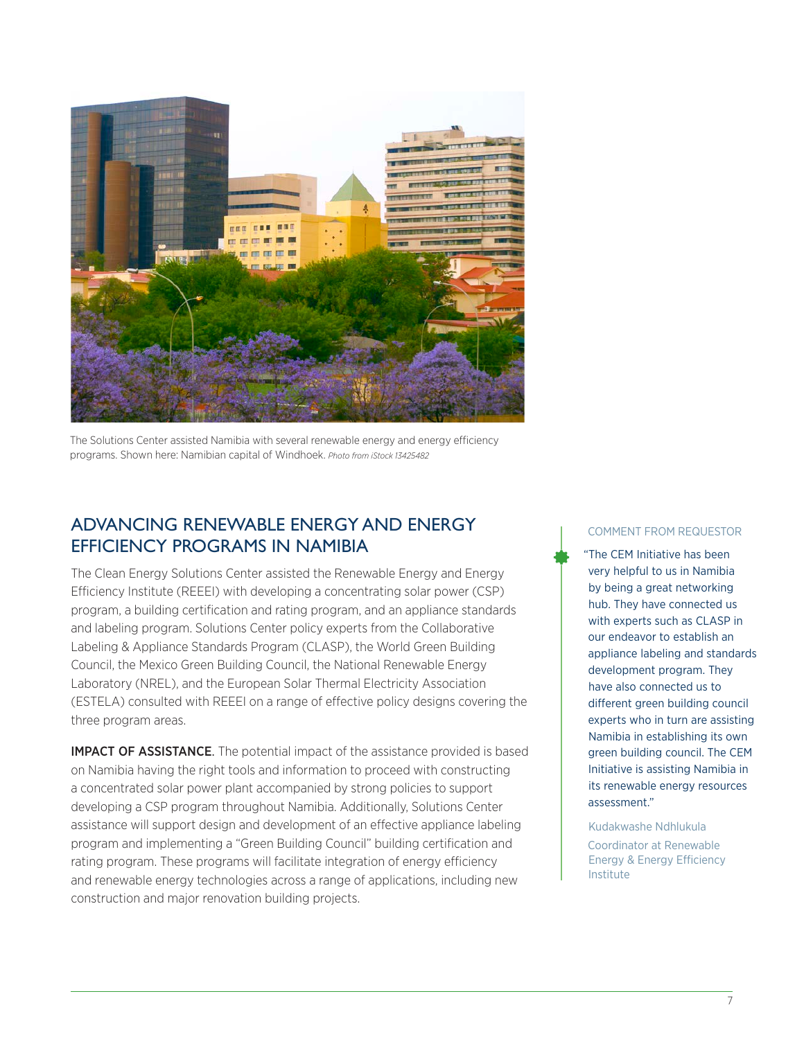

The Solutions Center assisted Namibia with several renewable energy and energy efficiency programs. Shown here: Namibian capital of Windhoek. *Photo from iStock 13425482*

#### ADVANCING RENEWABLE ENERGY AND ENERGY EFFICIENCY PROGRAMS IN NAMIBIA

The Clean Energy Solutions Center assisted the Renewable Energy and Energy Efficiency Institute (REEEI) with developing a concentrating solar power (CSP) program, a building certification and rating program, and an appliance standards and labeling program. Solutions Center policy experts from the Collaborative Labeling & Appliance Standards Program (CLASP), the World Green Building Council, the Mexico Green Building Council, the National Renewable Energy Laboratory (NREL), and the European Solar Thermal Electricity Association (ESTELA) consulted with REEEI on a range of effective policy designs covering the three program areas.

IMPACT OF ASSISTANCE. The potential impact of the assistance provided is based on Namibia having the right tools and information to proceed with constructing a concentrated solar power plant accompanied by strong policies to support developing a CSP program throughout Namibia. Additionally, Solutions Center assistance will support design and development of an effective appliance labeling program and implementing a "Green Building Council" building certification and rating program. These programs will facilitate integration of energy efficiency and renewable energy technologies across a range of applications, including new construction and major renovation building projects.

#### COMMENT FROM REQUESTOR

"The CEM Initiative has been very helpful to us in Namibia by being a great networking hub. They have connected us with experts such as CLASP in our endeavor to establish an appliance labeling and standards development program. They have also connected us to different green building council experts who in turn are assisting Namibia in establishing its own green building council. The CEM Initiative is assisting Namibia in its renewable energy resources assessment."

Kudakwashe Ndhlukula

Coordinator at Renewable Energy & Energy Efficiency Institute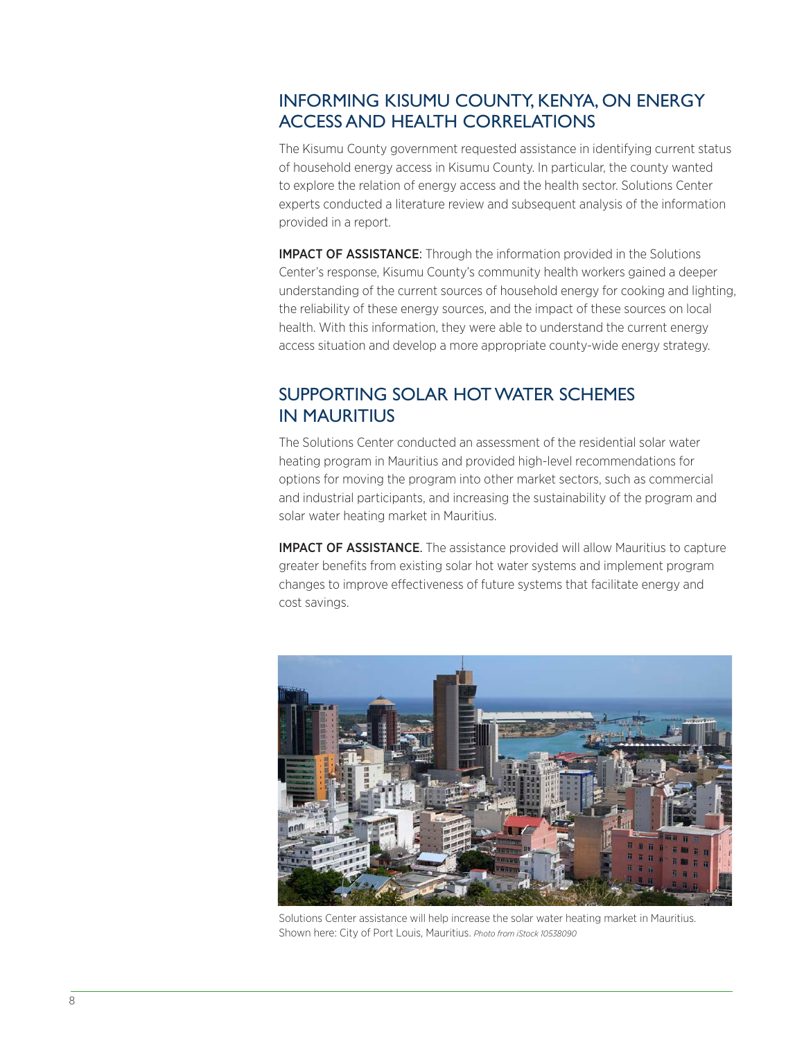# INFORMING KISUMU COUNTY, KENYA, ON ENERGY ACCESS AND HEALTH CORRELATIONS

The Kisumu County government requested assistance in identifying current status of household energy access in Kisumu County. In particular, the county wanted to explore the relation of energy access and the health sector. Solutions Center experts conducted a literature review and subsequent analysis of the information provided in a report.

IMPACT OF ASSISTANCE: Through the information provided in the Solutions Center's response, Kisumu County's community health workers gained a deeper understanding of the current sources of household energy for cooking and lighting, the reliability of these energy sources, and the impact of these sources on local health. With this information, they were able to understand the current energy access situation and develop a more appropriate county-wide energy strategy.

# SUPPORTING SOLAR HOT WATER SCHEMES IN MAURITIUS

The Solutions Center conducted an assessment of the residential solar water heating program in Mauritius and provided high-level recommendations for options for moving the program into other market sectors, such as commercial and industrial participants, and increasing the sustainability of the program and solar water heating market in Mauritius.

**IMPACT OF ASSISTANCE**. The assistance provided will allow Mauritius to capture greater benefits from existing solar hot water systems and implement program changes to improve effectiveness of future systems that facilitate energy and cost savings.



Solutions Center assistance will help increase the solar water heating market in Mauritius. Shown here: City of Port Louis, Mauritius. *Photo from iStock 10538090*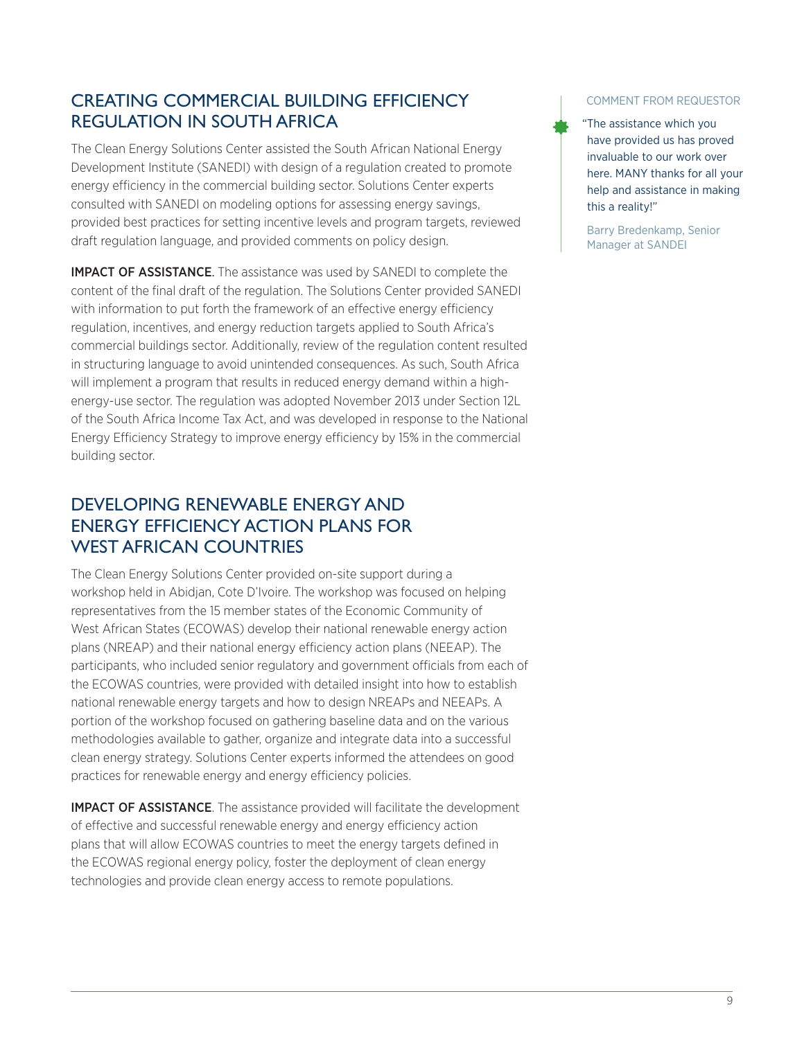# CREATING COMMERCIAL BUILDING EFFICIENCY REGULATION IN SOUTH AFRICA

The Clean Energy Solutions Center assisted the South African National Energy Development Institute (SANEDI) with design of a regulation created to promote energy efficiency in the commercial building sector. Solutions Center experts consulted with SANEDI on modeling options for assessing energy savings, provided best practices for setting incentive levels and program targets, reviewed draft regulation language, and provided comments on policy design.

**IMPACT OF ASSISTANCE.** The assistance was used by SANEDI to complete the content of the final draft of the regulation. The Solutions Center provided SANEDI with information to put forth the framework of an effective energy efficiency regulation, incentives, and energy reduction targets applied to South Africa's commercial buildings sector. Additionally, review of the regulation content resulted in structuring language to avoid unintended consequences. As such, South Africa will implement a program that results in reduced energy demand within a highenergy-use sector. The regulation was adopted November 2013 under Section 12L of the South Africa Income Tax Act, and was developed in response to the National Energy Efficiency Strategy to improve energy efficiency by 15% in the commercial building sector.

## DEVELOPING RENEWABLE ENERGY AND ENERGY EFFICIENCY ACTION PLANS FOR WEST AFRICAN COUNTRIES

The Clean Energy Solutions Center provided on-site support during a workshop held in Abidjan, Cote D'Ivoire. The workshop was focused on helping representatives from the 15 member states of the Economic Community of West African States (ECOWAS) develop their national renewable energy action plans (NREAP) and their national energy efficiency action plans (NEEAP). The participants, who included senior regulatory and government officials from each of the ECOWAS countries, were provided with detailed insight into how to establish national renewable energy targets and how to design NREAPs and NEEAPs. A portion of the workshop focused on gathering baseline data and on the various methodologies available to gather, organize and integrate data into a successful clean energy strategy. Solutions Center experts informed the attendees on good practices for renewable energy and energy efficiency policies.

**IMPACT OF ASSISTANCE**. The assistance provided will facilitate the development of effective and successful renewable energy and energy efficiency action plans that will allow ECOWAS countries to meet the energy targets defined in the ECOWAS regional energy policy, foster the deployment of clean energy technologies and provide clean energy access to remote populations.

#### COMMENT FROM REQUESTOR

"The assistance which you have provided us has proved invaluable to our work over here. MANY thanks for all your help and assistance in making this a reality!"

Barry Bredenkamp, Senior Manager at SANDEI